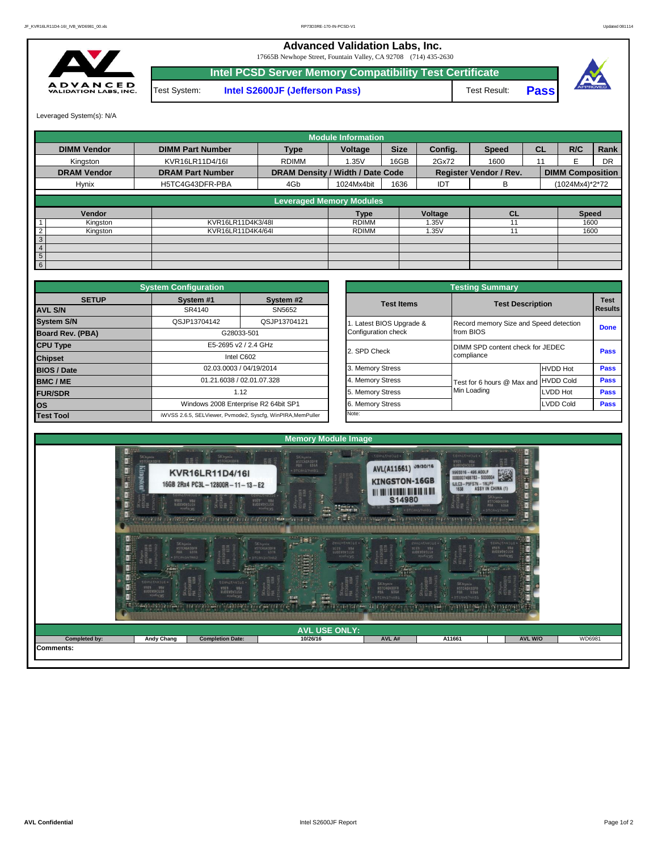**Pass**

**Advanced Validation Labs, Inc.** 

17665B Newhope Street, Fountain Valley, CA 92708 (714) 435-2630



**Intel PCSD Server Memory Compatibility Test Certificate** Test System: **Intel S2600JF (Jefferson Pass)** Test Result:



Leveraged System(s): N/A

|                |                    |                         |                                  | <b>Module Information</b> |             |         |                               |           |                         |           |
|----------------|--------------------|-------------------------|----------------------------------|---------------------------|-------------|---------|-------------------------------|-----------|-------------------------|-----------|
|                | <b>DIMM Vendor</b> | <b>DIMM Part Number</b> | <b>Type</b>                      | Voltage                   | <b>Size</b> | Config. | <b>Speed</b>                  | <b>CL</b> | R/C                     | Rank      |
|                | Kingston           | KVR16LR11D4/16I         | <b>RDIMM</b>                     | 1.35V                     | 16GB        | 2Gx72   | 1600                          | 11        |                         | <b>DR</b> |
|                | <b>DRAM Vendor</b> | <b>DRAM Part Number</b> | DRAM Density / Width / Date Code |                           |             |         | <b>Register Vendor / Rev.</b> |           | <b>DIMM Composition</b> |           |
|                | Hynix              | H5TC4G43DFR-PBA         | 4Gb                              | 1024Mx4bit                | 1636        | IDT     | в                             |           | (1024Mx4)*2*72          |           |
|                |                    |                         | <b>Leveraged Memory Modules</b>  |                           |             |         |                               |           |                         |           |
|                |                    |                         |                                  |                           |             |         |                               |           |                         |           |
|                | Vendor             |                         |                                  | <b>Type</b>               |             | Voltage | <b>CL</b>                     |           | <b>Speed</b>            |           |
|                | Kingston           | KVR16LR11D4K3/48I       |                                  | <b>RDIMM</b>              |             | 1.35V   |                               |           | 1600                    |           |
| $\overline{2}$ | Kingston           | KVR16LR11D4K4/64I       |                                  | <b>RDIMM</b>              |             | 1.35V   | 11                            |           | 1600                    |           |
| 3              |                    |                         |                                  |                           |             |         |                               |           |                         |           |
| $\overline{4}$ |                    |                         |                                  |                           |             |         |                               |           |                         |           |
| 5              |                    |                         |                                  |                           |             |         |                               |           |                         |           |
| 6              |                    |                         |                                  |                           |             |         |                               |           |                         |           |

|                                | <b>System Configuration</b>          |                                                             | <b>Testing Summary</b> |                   |                                        |                 |                                |  |  |  |  |  |
|--------------------------------|--------------------------------------|-------------------------------------------------------------|------------------------|-------------------|----------------------------------------|-----------------|--------------------------------|--|--|--|--|--|
| <b>SETUP</b><br><b>AVL S/N</b> | System #1<br>SR4140                  | System #2<br>SN5652                                         |                        | <b>Test Items</b> | <b>Test Description</b>                |                 | <b>Test</b><br><b>I</b> Result |  |  |  |  |  |
|                                |                                      |                                                             |                        |                   |                                        |                 |                                |  |  |  |  |  |
| <b>System S/N</b>              | QSJP13704142                         | QSJP13704121                                                | Latest BIOS Upgrade &  |                   | Record memory Size and Speed detection |                 | Done                           |  |  |  |  |  |
| Board Rev. (PBA)               |                                      | G28033-501                                                  | Configuration check    |                   | from BIOS                              |                 |                                |  |  |  |  |  |
| <b>CPU Type</b>                |                                      | E5-2695 v2 / 2.4 GHz                                        | 2. SPD Check           |                   | DIMM SPD content check for JEDEC       |                 | Pass                           |  |  |  |  |  |
| <b>Chipset</b>                 | Intel C602                           |                                                             |                        |                   | compliance                             |                 |                                |  |  |  |  |  |
| <b>BIOS / Date</b>             | 02.03.0003 / 04/19/2014              |                                                             | 3. Memory Stress       |                   |                                        | <b>HVDD Hot</b> | Pass                           |  |  |  |  |  |
| <b>BMC/ME</b>                  |                                      | 01.21.6038 / 02.01.07.328                                   | 4. Memory Stress       |                   | Test for 6 hours @ Max and HVDD Cold   |                 | Pass                           |  |  |  |  |  |
| <b>FUR/SDR</b>                 |                                      | 1.12                                                        | 5. Memory Stress       |                   | Min Loading                            | LVDD Hot        | Pass                           |  |  |  |  |  |
| <b>los</b>                     | Windows 2008 Enterprise R2 64bit SP1 |                                                             | 6. Memory Stress       |                   | <b>LVDD Cold</b>                       | Pass            |                                |  |  |  |  |  |
| <b>Test Tool</b>               |                                      | iWVSS 2.6.5, SELViewer, Pvmode2, Syscfg, WinPIRA, MemPuller | Note:                  |                   |                                        |                 |                                |  |  |  |  |  |

|                         |                                                 | <b>Testing Summary</b>                         |                                        |                               |  |  |
|-------------------------|-------------------------------------------------|------------------------------------------------|----------------------------------------|-------------------------------|--|--|
| System #2<br>SN5652     | <b>Test Items</b>                               | <b>Test Description</b>                        |                                        | <b>Test</b><br><b>Results</b> |  |  |
| QSJP13704121            | 1. Latest BIOS Upgrade &<br>Configuration check | from BIOS                                      | Record memory Size and Speed detection |                               |  |  |
| <b>GHz</b>              | 2. SPD Check                                    | DIMM SPD content check for JEDEC<br>compliance | Pass                                   |                               |  |  |
| /2014                   | 3. Memory Stress                                |                                                | <b>HVDD Hot</b>                        | <b>Pass</b>                   |  |  |
| 17.328                  | 4. Memory Stress                                | Test for 6 hours @ Max and                     | <b>HVDD Cold</b>                       | <b>Pass</b>                   |  |  |
|                         | 5. Memory Stress                                | Min Loading                                    | <b>LVDD Hot</b>                        | <b>Pass</b>                   |  |  |
| R2 64bit SP1            | 6. Memory Stress                                |                                                | <b>LVDD Cold</b>                       | <b>Pass</b>                   |  |  |
| cfg, WinPIRA, MemPuller | Note:                                           |                                                |                                        |                               |  |  |